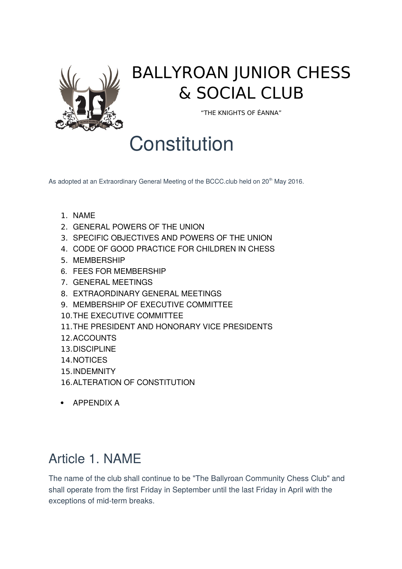

## BALLYROAN JUNIOR CHESS & SOCIAL CLUB

"THE KNIGHTS OF ÉANNA"

# **Constitution**

As adopted at an Extraordinary General Meeting of the BCCC.club held on 20<sup>th</sup> May 2016.

- 1. [NAME](https://www.icu.ie/icu/constitution#1)
- 2. [GENERAL POWERS OF THE UNION](https://www.icu.ie/icu/constitution#2)
- 3. [SPECIFIC OBJECTIVES AND POWERS OF THE UNION](https://www.icu.ie/icu/constitution#3)
- 4. [CODE OF GOOD PRACTICE FOR CHILDREN IN CHESS](https://www.icu.ie/icu/constitution#4)
- 5. [MEMBERSHIP](https://www.icu.ie/icu/constitution#5)
- 6. FEES FOR MEMBERSHIP
- 7. [GENERAL MEETINGS](https://www.icu.ie/icu/constitution#7)
- 8. [EXTRAORDINARY GENERAL MEETINGS](https://www.icu.ie/icu/constitution#8)
- 9. [MEMBERSHIP OF EXECUTIVE COMMITTEE](https://www.icu.ie/icu/constitution#9)
- 10.[THE EXECUTIVE COMMITTEE](https://www.icu.ie/icu/constitution#10)
- 11.[THE PRESIDENT AND HONORARY VICE PRESIDENTS](https://www.icu.ie/icu/constitution#11)
- 12.[ACCOUNTS](https://www.icu.ie/icu/constitution#12)
- 13.[DISCIPLINE](https://www.icu.ie/icu/constitution#13)
- 14.[NOTICES](https://www.icu.ie/icu/constitution#14)
- 15.[INDEMNITY](https://www.icu.ie/icu/constitution#15)
- 16.[ALTERATION OF CONSTITUTION](https://www.icu.ie/icu/constitution#17)
- [APPENDIX A](https://www.icu.ie/icu/constitution#A)

#### Article 1. NAME

The name of the club shall continue to be "The Ballyroan Community Chess Club" and shall operate from the first Friday in September until the last Friday in April with the exceptions of mid-term breaks.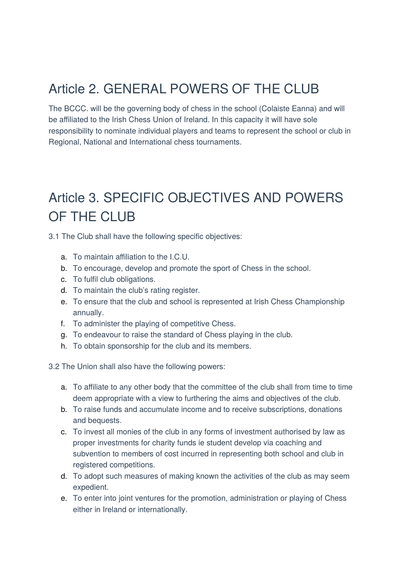#### Article 2. GENERAL POWERS OF THE CLUB

The BCCC. will be the governing body of chess in the school (Colaiste Eanna) and will be affiliated to the Irish Chess Union of Ireland. In this capacity it will have sole responsibility to nominate individual players and teams to represent the school or club in Regional, National and International chess tournaments.

## Article 3. SPECIFIC OBJECTIVES AND POWERS OF THE CLUB

3.1 The Club shall have the following specific objectives:

- a. To maintain affiliation to the I.C.U.
- b. To encourage, develop and promote the sport of Chess in the school.
- c. To fulfil club obligations.
- d. To maintain the club's rating register.
- e. To ensure that the club and school is represented at Irish Chess Championship annually.
- f. To administer the playing of competitive Chess.
- g. To endeavour to raise the standard of Chess playing in the club.
- h. To obtain sponsorship for the club and its members.

3.2 The Union shall also have the following powers:

- a. To affiliate to any other body that the committee of the club shall from time to time deem appropriate with a view to furthering the aims and objectives of the club.
- b. To raise funds and accumulate income and to receive subscriptions, donations and bequests.
- c. To invest all monies of the club in any forms of investment authorised by law as proper investments for charity funds ie student develop via coaching and subvention to members of cost incurred in representing both school and club in registered competitions.
- d. To adopt such measures of making known the activities of the club as may seem expedient.
- e. To enter into joint ventures for the promotion, administration or playing of Chess either in Ireland or internationally.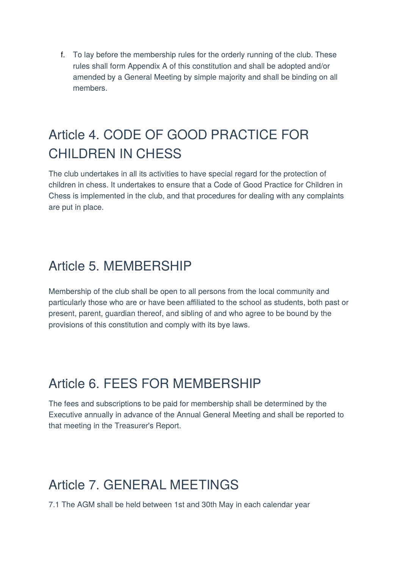f. To lay before the membership rules for the orderly running of the club. These rules shall form Appendix A of this constitution and shall be adopted and/or amended by a General Meeting by simple majority and shall be binding on all members.

## Article 4. CODE OF GOOD PRACTICE FOR CHILDREN IN CHESS

The club undertakes in all its activities to have special regard for the protection of children in chess. It undertakes to ensure that a Code of Good Practice for Children in Chess is implemented in the club, and that procedures for dealing with any complaints are put in place.

#### Article 5. MEMBERSHIP

Membership of the club shall be open to all persons from the local community and particularly those who are or have been affiliated to the school as students, both past or present, parent, guardian thereof, and sibling of and who agree to be bound by the provisions of this constitution and comply with its bye laws.

#### Article 6. FEES FOR MEMBERSHIP

The fees and subscriptions to be paid for membership shall be determined by the Executive annually in advance of the Annual General Meeting and shall be reported to that meeting in the Treasurer's Report.

#### Article 7. GENERAL MEETINGS

7.1 The AGM shall be held between 1st and 30th May in each calendar year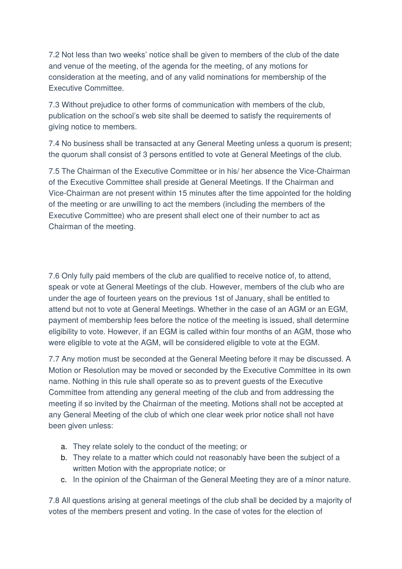7.2 Not less than two weeks' notice shall be given to members of the club of the date and venue of the meeting, of the agenda for the meeting, of any motions for consideration at the meeting, and of any valid nominations for membership of the Executive Committee.

7.3 Without prejudice to other forms of communication with members of the club, publication on the school's web site shall be deemed to satisfy the requirements of giving notice to members.

7.4 No business shall be transacted at any General Meeting unless a quorum is present; the quorum shall consist of 3 persons entitled to vote at General Meetings of the club.

7.5 The Chairman of the Executive Committee or in his/ her absence the Vice-Chairman of the Executive Committee shall preside at General Meetings. If the Chairman and Vice-Chairman are not present within 15 minutes after the time appointed for the holding of the meeting or are unwilling to act the members (including the members of the Executive Committee) who are present shall elect one of their number to act as Chairman of the meeting.

7.6 Only fully paid members of the club are qualified to receive notice of, to attend, speak or vote at General Meetings of the club. However, members of the club who are under the age of fourteen years on the previous 1st of January, shall be entitled to attend but not to vote at General Meetings. Whether in the case of an AGM or an EGM, payment of membership fees before the notice of the meeting is issued, shall determine eligibility to vote. However, if an EGM is called within four months of an AGM, those who were eligible to vote at the AGM, will be considered eligible to vote at the EGM.

7.7 Any motion must be seconded at the General Meeting before it may be discussed. A Motion or Resolution may be moved or seconded by the Executive Committee in its own name. Nothing in this rule shall operate so as to prevent guests of the Executive Committee from attending any general meeting of the club and from addressing the meeting if so invited by the Chairman of the meeting. Motions shall not be accepted at any General Meeting of the club of which one clear week prior notice shall not have been given unless:

- a. They relate solely to the conduct of the meeting; or
- b. They relate to a matter which could not reasonably have been the subject of a written Motion with the appropriate notice; or
- c. In the opinion of the Chairman of the General Meeting they are of a minor nature.

7.8 All questions arising at general meetings of the club shall be decided by a majority of votes of the members present and voting. In the case of votes for the election of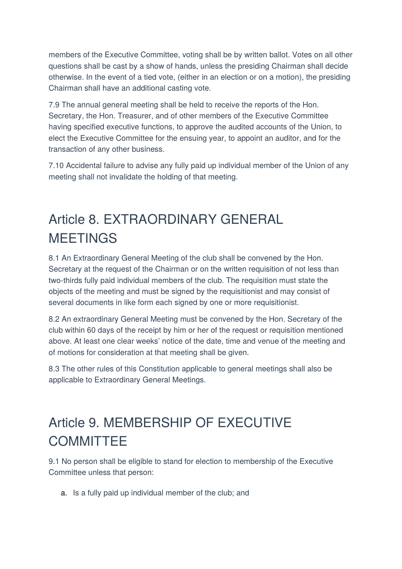members of the Executive Committee, voting shall be by written ballot. Votes on all other questions shall be cast by a show of hands, unless the presiding Chairman shall decide otherwise. In the event of a tied vote, (either in an election or on a motion), the presiding Chairman shall have an additional casting vote.

7.9 The annual general meeting shall be held to receive the reports of the Hon. Secretary, the Hon. Treasurer, and of other members of the Executive Committee having specified executive functions, to approve the audited accounts of the Union, to elect the Executive Committee for the ensuing year, to appoint an auditor, and for the transaction of any other business.

7.10 Accidental failure to advise any fully paid up individual member of the Union of any meeting shall not invalidate the holding of that meeting.

## Article 8. EXTRAORDINARY GENERAL MEETINGS

8.1 An Extraordinary General Meeting of the club shall be convened by the Hon. Secretary at the request of the Chairman or on the written requisition of not less than two-thirds fully paid individual members of the club. The requisition must state the objects of the meeting and must be signed by the requisitionist and may consist of several documents in like form each signed by one or more requisitionist.

8.2 An extraordinary General Meeting must be convened by the Hon. Secretary of the club within 60 days of the receipt by him or her of the request or requisition mentioned above. At least one clear weeks' notice of the date, time and venue of the meeting and of motions for consideration at that meeting shall be given.

8.3 The other rules of this Constitution applicable to general meetings shall also be applicable to Extraordinary General Meetings.

## Article 9. MEMBERSHIP OF EXECUTIVE **COMMITTEE**

9.1 No person shall be eligible to stand for election to membership of the Executive Committee unless that person:

a. Is a fully paid up individual member of the club; and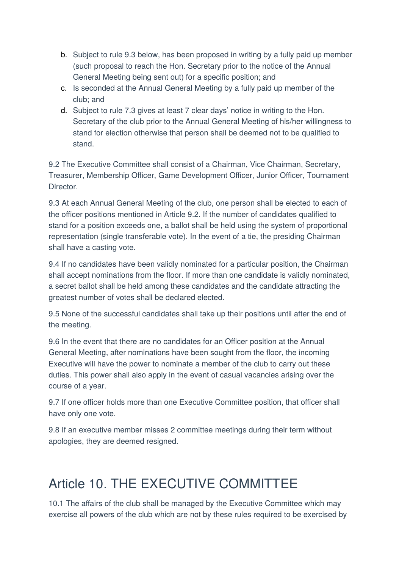- b. Subject to rule 9.3 below, has been proposed in writing by a fully paid up member (such proposal to reach the Hon. Secretary prior to the notice of the Annual General Meeting being sent out) for a specific position; and
- c. Is seconded at the Annual General Meeting by a fully paid up member of the club; and
- d. Subject to rule 7.3 gives at least 7 clear days' notice in writing to the Hon. Secretary of the club prior to the Annual General Meeting of his/her willingness to stand for election otherwise that person shall be deemed not to be qualified to stand.

9.2 The Executive Committee shall consist of a Chairman, Vice Chairman, Secretary, Treasurer, Membership Officer, Game Development Officer, Junior Officer, Tournament Director.

9.3 At each Annual General Meeting of the club, one person shall be elected to each of the officer positions mentioned in Article 9.2. If the number of candidates qualified to stand for a position exceeds one, a ballot shall be held using the system of proportional representation (single transferable vote). In the event of a tie, the presiding Chairman shall have a casting vote.

9.4 If no candidates have been validly nominated for a particular position, the Chairman shall accept nominations from the floor. If more than one candidate is validly nominated, a secret ballot shall be held among these candidates and the candidate attracting the greatest number of votes shall be declared elected.

9.5 None of the successful candidates shall take up their positions until after the end of the meeting.

9.6 In the event that there are no candidates for an Officer position at the Annual General Meeting, after nominations have been sought from the floor, the incoming Executive will have the power to nominate a member of the club to carry out these duties. This power shall also apply in the event of casual vacancies arising over the course of a year.

9.7 If one officer holds more than one Executive Committee position, that officer shall have only one vote.

9.8 If an executive member misses 2 committee meetings during their term without apologies, they are deemed resigned.

## Article 10. THE EXECUTIVE COMMITTEE

10.1 The affairs of the club shall be managed by the Executive Committee which may exercise all powers of the club which are not by these rules required to be exercised by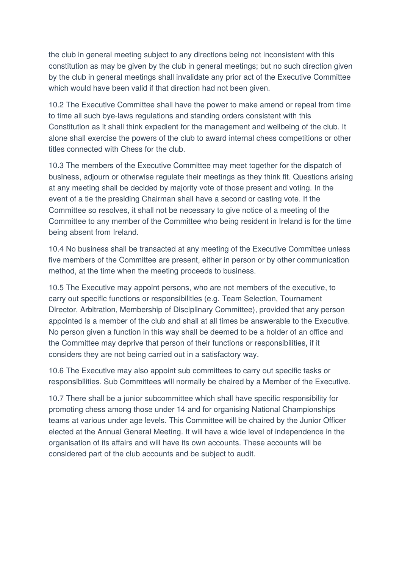the club in general meeting subject to any directions being not inconsistent with this constitution as may be given by the club in general meetings; but no such direction given by the club in general meetings shall invalidate any prior act of the Executive Committee which would have been valid if that direction had not been given.

10.2 The Executive Committee shall have the power to make amend or repeal from time to time all such bye-laws regulations and standing orders consistent with this Constitution as it shall think expedient for the management and wellbeing of the club. It alone shall exercise the powers of the club to award internal chess competitions or other titles connected with Chess for the club.

10.3 The members of the Executive Committee may meet together for the dispatch of business, adjourn or otherwise regulate their meetings as they think fit. Questions arising at any meeting shall be decided by majority vote of those present and voting. In the event of a tie the presiding Chairman shall have a second or casting vote. If the Committee so resolves, it shall not be necessary to give notice of a meeting of the Committee to any member of the Committee who being resident in Ireland is for the time being absent from Ireland.

10.4 No business shall be transacted at any meeting of the Executive Committee unless five members of the Committee are present, either in person or by other communication method, at the time when the meeting proceeds to business.

10.5 The Executive may appoint persons, who are not members of the executive, to carry out specific functions or responsibilities (e.g. Team Selection, Tournament Director, Arbitration, Membership of Disciplinary Committee), provided that any person appointed is a member of the club and shall at all times be answerable to the Executive. No person given a function in this way shall be deemed to be a holder of an office and the Committee may deprive that person of their functions or responsibilities, if it considers they are not being carried out in a satisfactory way.

10.6 The Executive may also appoint sub committees to carry out specific tasks or responsibilities. Sub Committees will normally be chaired by a Member of the Executive.

10.7 There shall be a junior subcommittee which shall have specific responsibility for promoting chess among those under 14 and for organising National Championships teams at various under age levels. This Committee will be chaired by the Junior Officer elected at the Annual General Meeting. It will have a wide level of independence in the organisation of its affairs and will have its own accounts. These accounts will be considered part of the club accounts and be subject to audit.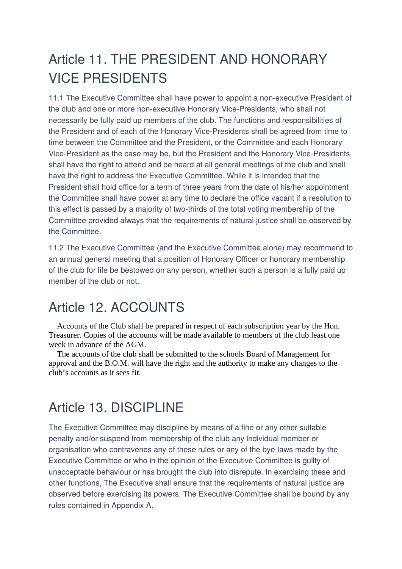## Article 11. THE PRESIDENT AND HONORARY VICE PRESIDENTS

11.1 The Executive Committee shall have power to appoint a non-executive President of the club and one or more non-executive Honorary Vice-Presidents, who shall not necessarily be fully paid up members of the club. The functions and responsibilities of the President and of each of the Honorary Vice-Presidents shall be agreed from time to time between the Committee and the President, or the Committee and each Honorary Vice-President as the case may be, but the President and the Honorary Vice-Presidents shall have the right to attend and be heard at all general meetings of the club and shall have the right to address the Executive Committee. While it is intended that the President shall hold office for a term of three years from the date of his/her appointment the Committee shall have power at any time to declare the office vacant if a resolution to this effect is passed by a majority of two-thirds of the total voting membership of the Committee provided always that the requirements of natural justice shall be observed by the Committee.

11.2 The Executive Committee (and the Executive Committee alone) may recommend to an annual general meeting that a position of Honorary Officer or honorary membership of the club for life be bestowed on any person, whether such a person is a fully paid up member of the club or not.

#### Article 12. ACCOUNTS

Accounts of the Club shall be prepared in respect of each subscription year by the Hon. Treasurer. Copies of the accounts will be made available to members of the club least one week in advance of the AGM.

-The accounts of the club shall be submitted to the schools Board of Management for approval and the B.O.M. will have the right and the authority to make any changes to the club's accounts as it sees fit.

#### Article 13. DISCIPLINE

The Executive Committee may discipline by means of a fine or any other suitable penalty and/or suspend from membership of the club any individual member or organisation who contravenes any of these rules or any of the bye-laws made by the Executive Committee or who in the opinion of the Executive Committee is guilty of unacceptable behaviour or has brought the club into disrepute. In exercising these and other functions, The Executive shall ensure that the requirements of natural justice are observed before exercising its powers. The Executive Committee shall be bound by any rules contained in Appendix A.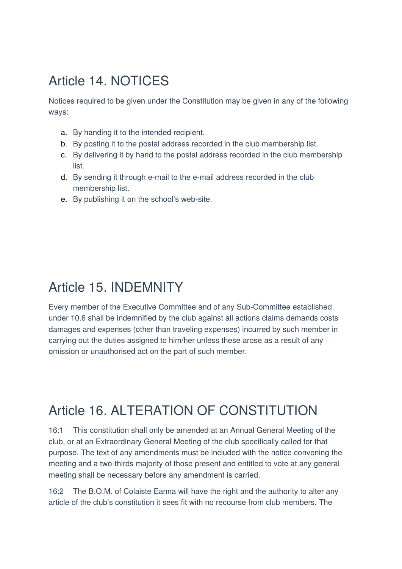#### Article 14. NOTICES

Notices required to be given under the Constitution may be given in any of the following ways:

- a. By handing it to the intended recipient.
- b. By posting it to the postal address recorded in the club membership list.
- c. By delivering it by hand to the postal address recorded in the club membership list.
- d. By sending it through e-mail to the e-mail address recorded in the club membership list.
- e. By publishing it on the school's web-site.

#### Article 15. INDEMNITY

Every member of the Executive Committee and of any Sub-Committee established under 10.6 shall be indemnified by the club against all actions claims demands costs damages and expenses (other than traveling expenses) incurred by such member in carrying out the duties assigned to him/her unless these arose as a result of any omission or unauthorised act on the part of such member.

#### Article 16. ALTERATION OF CONSTITUTION

16:1 This constitution shall only be amended at an Annual General Meeting of the club, or at an Extraordinary General Meeting of the club specifically called for that purpose. The text of any amendments must be included with the notice convening the meeting and a two-thirds majority of those present and entitled to vote at any general meeting shall be necessary before any amendment is carried.

16:2 The B.O.M. of Colaiste Eanna will have the right and the authority to alter any article of the club's constitution it sees fit with no recourse from club members. The